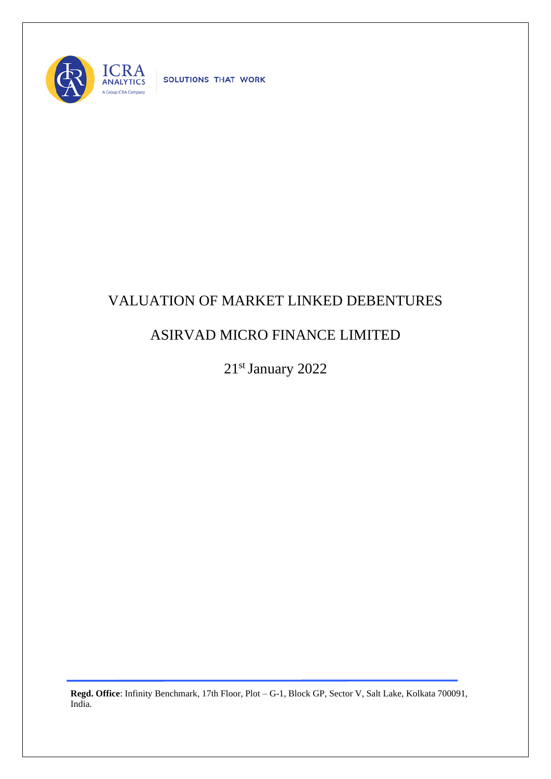

SOLUTIONS THAT WORK

## VALUATION OF MARKET LINKED DEBENTURES

## ASIRVAD MICRO FINANCE LIMITED

21st January 2022

**Regd. Office**: Infinity Benchmark, 17th Floor, Plot – G-1, Block GP, Sector V, Salt Lake, Kolkata 700091, India.